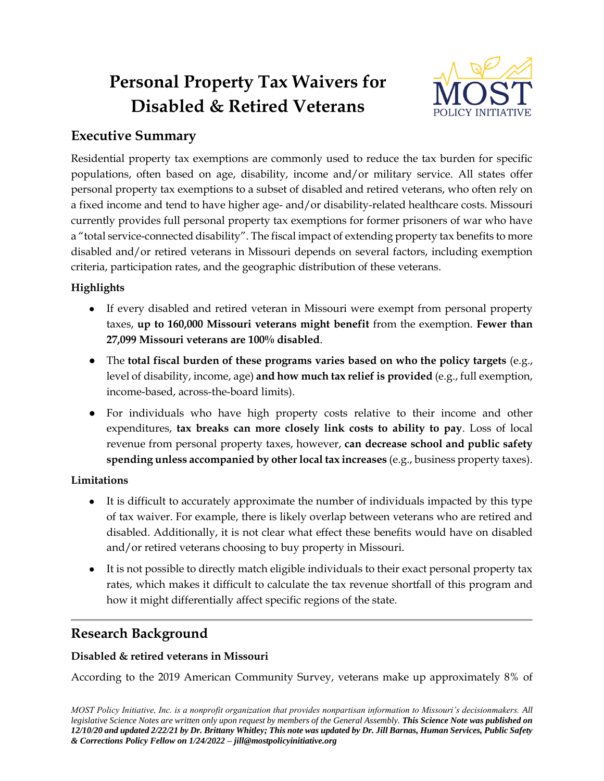# **Personal Property Tax Waivers for Disabled & Retired Veterans**



# **Executive Summary**

Residential property tax exemptions are commonly used to reduce the tax burden for specific populations, often based on age, disability, income and/or military service. All states offer personal property tax exemptions to a subset of disabled and retired veterans, who often rely on a fixed income and tend to have higher age- and/or disability-related healthcare costs. Missouri currently provides full personal property tax exemptions for former prisoners of war who have a "total service-connected disability". The fiscal impact of extending property tax benefits to more disabled and/or retired veterans in Missouri depends on several factors, including exemption criteria, participation rates, and the geographic distribution of these veterans.

# **Highlights**

- If every disabled and retired veteran in Missouri were exempt from personal property taxes, **up to 160,000 Missouri veterans might benefit** from the exemption. **Fewer than 27,099 Missouri veterans are 100% disabled**.
- The **total fiscal burden of these programs varies based on who the policy targets** (e.g., level of disability, income, age) **and how much tax relief is provided** (e.g., full exemption, income-based, across-the-board limits).
- For individuals who have high property costs relative to their income and other expenditures, **tax breaks can more closely link costs to ability to pay**. Loss of local revenue from personal property taxes, however, **can decrease school and public safety spending unless accompanied by other local tax increases** (e.g., business property taxes).

# **Limitations**

- It is difficult to accurately approximate the number of individuals impacted by this type of tax waiver. For example, there is likely overlap between veterans who are retired and disabled. Additionally, it is not clear what effect these benefits would have on disabled and/or retired veterans choosing to buy property in Missouri.
- It is not possible to directly match eligible individuals to their exact personal property tax rates, which makes it difficult to calculate the tax revenue shortfall of this program and how it might differentially affect specific regions of the state.

# **Research Background**

## **Disabled & retired veterans in Missouri**

According to the 2019 American Community Survey, veterans make up approximately 8% of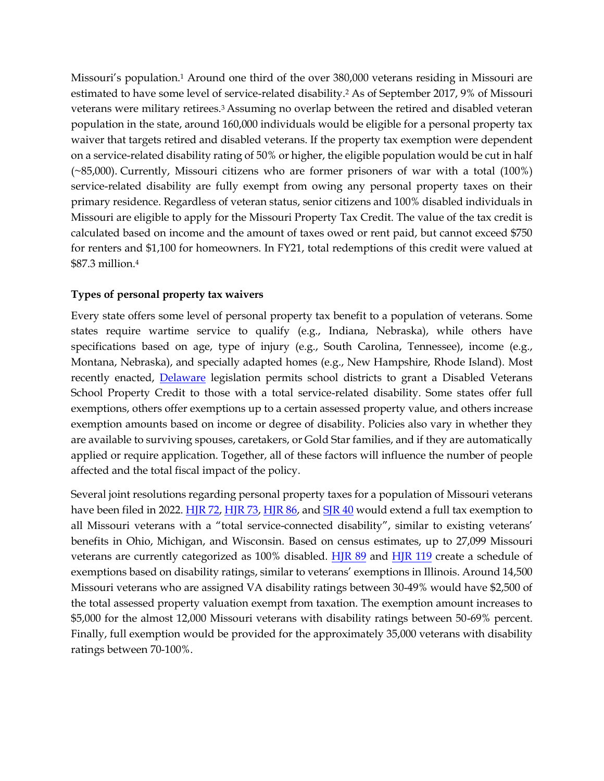Missouri's population.<sup>1</sup> Around one third of the over 380,000 veterans residing in Missouri are estimated to have some level of service-related disability.<sup>2</sup> As of September 2017, 9% of Missouri veterans were military retirees.3 Assuming no overlap between the retired and disabled veteran population in the state, around 160,000 individuals would be eligible for a personal property tax waiver that targets retired and disabled veterans. If the property tax exemption were dependent on a service-related disability rating of 50% or higher, the eligible population would be cut in half (~85,000). Currently, Missouri citizens who are former prisoners of war with a total (100%) service-related disability are fully exempt from owing any personal property taxes on their primary residence. Regardless of veteran status, senior citizens and 100% disabled individuals in Missouri are eligible to apply for the Missouri Property Tax Credit. The value of the tax credit is calculated based on income and the amount of taxes owed or rent paid, but cannot exceed \$750 for renters and \$1,100 for homeowners. In FY21, total redemptions of this credit were valued at \$87.3 million.<sup>4</sup>

#### **Types of personal property tax waivers**

Every state offers some level of personal property tax benefit to a population of veterans. Some states require wartime service to qualify (e.g., Indiana, Nebraska), while others have specifications based on age, type of injury (e.g., South Carolina, Tennessee), income (e.g., Montana, Nebraska), and specially adapted homes (e.g., New Hampshire, Rhode Island). Most recently enacted, [Delaware](https://finance.delaware.gov/disabled-veterans/) legislation permits school districts to grant a Disabled Veterans School Property Credit to those with a total service-related disability. Some states offer full exemptions, others offer exemptions up to a certain assessed property value, and others increase exemption amounts based on income or degree of disability. Policies also vary in whether they are available to surviving spouses, caretakers, or Gold Star families, and if they are automatically applied or require application. Together, all of these factors will influence the number of people affected and the total fiscal impact of the policy.

Several joint resolutions regarding personal property taxes for a population of Missouri veterans have been filed in 2022. [HJR 72,](https://house.mo.gov/Bill.aspx?bill=HJR72&year=2022&code=R) [HJR 73,](https://house.mo.gov/Bill.aspx?bill=HJR73&year=2022&code=R) [HJR 86,](https://house.mo.gov/Bill.aspx?bill=HJR86&year=2022&code=R) an[d SJR 40](https://www.senate.mo.gov/22info/BTS_Web/Bill.aspx?SessionType=R&BillID=71259759) would extend a full tax exemption to all Missouri veterans with a "total service-connected disability", similar to existing veterans' benefits in Ohio, Michigan, and Wisconsin. Based on census estimates, up to 27,099 Missouri veterans are currently categorized as 100% disabled. **HJR 89** and **[HJR 119](https://house.mo.gov/Bill.aspx?bill=HJR119&year=2022&code=R)** create a schedule of exemptions based on disability ratings, similar to veterans' exemptions in Illinois. Around 14,500 Missouri veterans who are assigned VA disability ratings between 30-49% would have \$2,500 of the total assessed property valuation exempt from taxation. The exemption amount increases to \$5,000 for the almost 12,000 Missouri veterans with disability ratings between 50-69% percent. Finally, full exemption would be provided for the approximately 35,000 veterans with disability ratings between 70-100%.